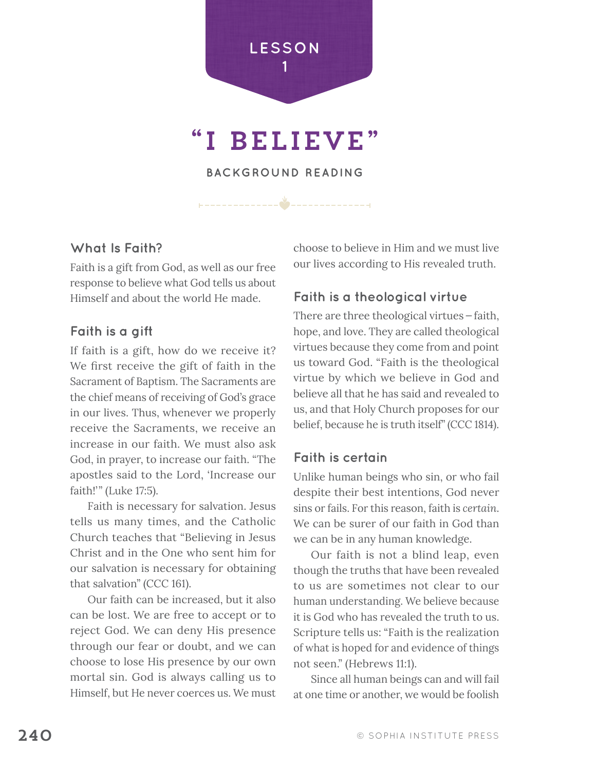

# **What Is Faith?**

Faith is a gift from God, as well as our free response to believe what God tells us about Himself and about the world He made.

# **Faith is a gift**

If faith is a gift, how do we receive it? We first receive the gift of faith in the Sacrament of Baptism. The Sacraments are the chief means of receiving of God's grace in our lives. Thus, whenever we properly receive the Sacraments, we receive an increase in our faith. We must also ask God, in prayer, to increase our faith. "The apostles said to the Lord, 'Increase our faith!'" (Luke 17:5).

Faith is necessary for salvation. Jesus tells us many times, and the Catholic Church teaches that "Believing in Jesus Christ and in the One who sent him for our salvation is necessary for obtaining that salvation" (CCC 161).

Our faith can be increased, but it also can be lost. We are free to accept or to reject God. We can deny His presence through our fear or doubt, and we can choose to lose His presence by our own mortal sin. God is always calling us to Himself, but He never coerces us. We must choose to believe in Him and we must live our lives according to His revealed truth.

# **Faith is a theological virtue**

There are three theological virtues—faith, hope, and love. They are called theological virtues because they come from and point us toward God. "Faith is the theological virtue by which we believe in God and believe all that he has said and revealed to us, and that Holy Church proposes for our belief, because he is truth itself" (CCC 1814).

# **Faith is certain**

Unlike human beings who sin, or who fail despite their best intentions, God never sins or fails. For this reason, faith is *certain*. We can be surer of our faith in God than we can be in any human knowledge.

Our faith is not a blind leap, even though the truths that have been revealed to us are sometimes not clear to our human understanding. We believe because it is God who has revealed the truth to us. Scripture tells us: "Faith is the realization of what is hoped for and evidence of things not seen." (Hebrews 11:1).

Since all human beings can and will fail at one time or another, we would be foolish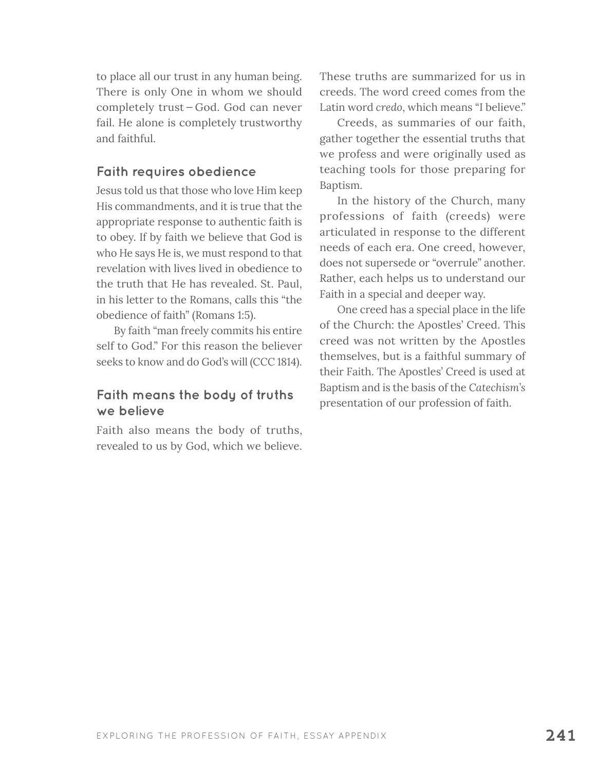to place all our trust in any human being. There is only One in whom we should completely trust —God. God can never fail. He alone is completely trustworthy and faithful.

#### **Faith requires obedience**

Jesus told us that those who love Him keep His commandments, and it is true that the appropriate response to authentic faith is to obey. If by faith we believe that God is who He says He is, we must respond to that revelation with lives lived in obedience to the truth that He has revealed. St. Paul, in his letter to the Romans, calls this "the obedience of faith" (Romans 1:5).

By faith "man freely commits his entire self to God." For this reason the believer seeks to know and do God's will (CCC 1814).

### **Faith means the body of truths we believe**

Faith also means the body of truths, revealed to us by God, which we believe. These truths are summarized for us in creeds. The word creed comes from the Latin word *credo*, which means "I believe."

Creeds, as summaries of our faith, gather together the essential truths that we profess and were originally used as teaching tools for those preparing for Baptism.

In the history of the Church, many professions of faith (creeds) were articulated in response to the different needs of each era. One creed, however, does not supersede or "overrule" another. Rather, each helps us to understand our Faith in a special and deeper way.

One creed has a special place in the life of the Church: the Apostles' Creed. This creed was not written by the Apostles themselves, but is a faithful summary of their Faith. The Apostles' Creed is used at Baptism and is the basis of the *Catechism's* presentation of our profession of faith.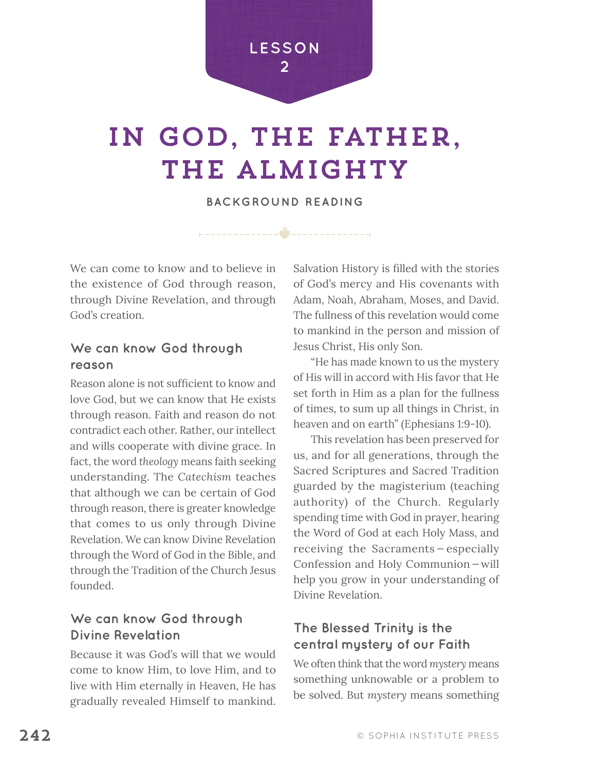

# In god, the father, THE ALMIGHTY

**BACKGROUND READING**

 $\sim$  ----

We can come to know and to believe in the existence of God through reason, through Divine Revelation, and through God's creation.

### **We can know God through reason**

Reason alone is not sufficient to know and love God, but we can know that He exists through reason. Faith and reason do not contradict each other. Rather, our intellect and wills cooperate with divine grace. In fact, the word *theology* means faith seeking understanding. The *Catechism* teaches that although we can be certain of God through reason, there is greater knowledge that comes to us only through Divine Revelation. We can know Divine Revelation through the Word of God in the Bible, and through the Tradition of the Church Jesus founded.

### **We can know God through Divine Revelation**

Because it was God's will that we would come to know Him, to love Him, and to live with Him eternally in Heaven, He has gradually revealed Himself to mankind. Salvation History is filled with the stories of God's mercy and His covenants with Adam, Noah, Abraham, Moses, and David. The fullness of this revelation would come to mankind in the person and mission of Jesus Christ, His only Son.

"He has made known to us the mystery of His will in accord with His favor that He set forth in Him as a plan for the fullness of times, to sum up all things in Christ, in heaven and on earth" (Ephesians 1:9-10).

This revelation has been preserved for us, and for all generations, through the Sacred Scriptures and Sacred Tradition guarded by the magisterium (teaching authority) of the Church. Regularly spending time with God in prayer, hearing the Word of God at each Holy Mass, and receiving the Sacraments — especially Confession and Holy Communion — will help you grow in your understanding of Divine Revelation.

### **The Blessed Trinity is the central mystery of our Faith**

We often think that the word *mystery* means something unknowable or a problem to be solved. But *mystery* means something